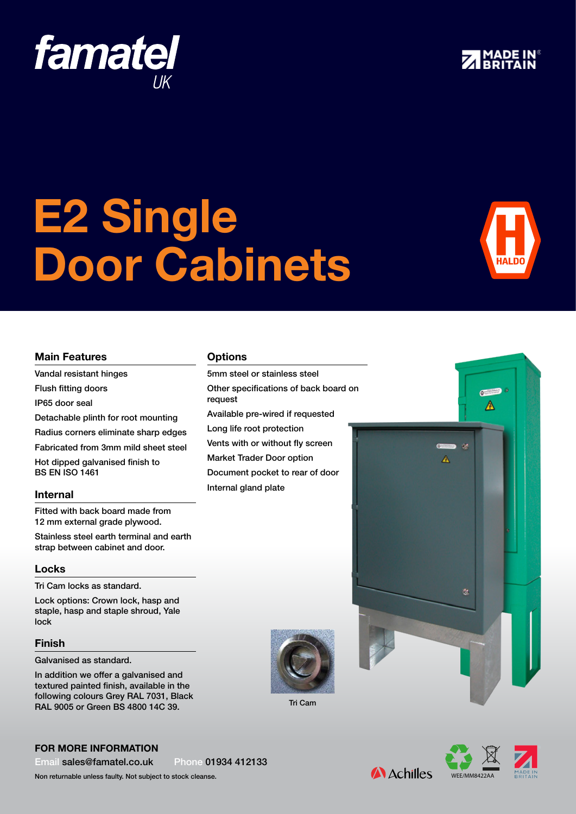# E2 Single Door Cabinets

#### Main Features

Vandal resistant hinges

Flush fitting doors

IP65 door seal

Detachable plinth for root mounting

**famatel** 

Radius corners eliminate sharp edges

Fabricated from 3mm mild sheet steel

Hot dipped galvanised finish to BS EN ISO 1461

#### Internal

Fitted with back board made from 12 mm external grade plywood.

Stainless steel earth terminal and earth strap between cabinet and door.

#### Locks

Tri Cam locks as standard.

Lock options: Crown lock, hasp and staple, hasp and staple shroud, Yale lock

#### Finish

Galvanised as standard.

In addition we offer a galvanised and textured painted finish, available in the following colours Grey RAL 7031, Black RAL 9005 or Green BS 4800 14C 39.

### **Options**

5mm steel or stainless steel Other specifications of back board on request Available pre-wired if requested Long life root protection Vents with or without fly screen Market Trader Door option Document pocket to rear of door Internal gland plate



Tri Cam



 $\sigma$ ◬

A



**A** Achilles

#### For more information

Email sales@famatel.co.uk Phone 01934 412133

Non returnable unless faulty. Not subject to stock cleanse.